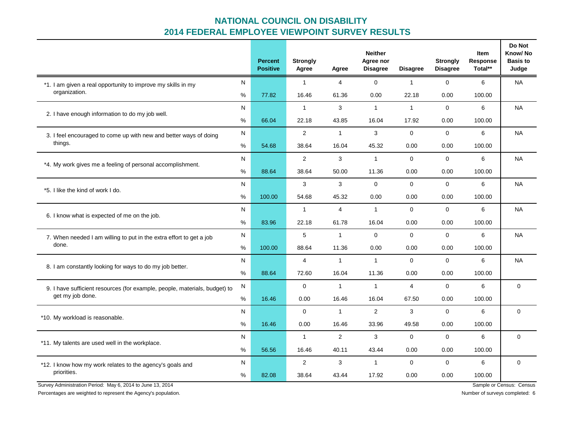## **NATIONAL COUNCIL ON DISABILITY 2014 FEDERAL EMPLOYEE VIEWPOINT SURVEY RESULTS**

|                                                                                                |      | <b>Percent</b><br><b>Positive</b> | <b>Strongly</b><br>Agree | Agree          | <b>Neither</b><br>Agree nor<br><b>Disagree</b> | Disagree       | <b>Strongly</b><br><b>Disagree</b> | <b>Item</b><br>Response<br>Total** | Do Not<br>Know/No<br><b>Basis to</b><br>Judge |
|------------------------------------------------------------------------------------------------|------|-----------------------------------|--------------------------|----------------|------------------------------------------------|----------------|------------------------------------|------------------------------------|-----------------------------------------------|
| *1. I am given a real opportunity to improve my skills in my<br>organization.                  | N    |                                   | $\mathbf{1}$             | $\overline{4}$ | $\mathbf{0}$                                   | $\mathbf{1}$   | $\Omega$                           | 6                                  | <b>NA</b>                                     |
|                                                                                                | %    | 77.82                             | 16.46                    | 61.36          | 0.00                                           | 22.18          | 0.00                               | 100.00                             |                                               |
| 2. I have enough information to do my job well.                                                | N    |                                   | $\mathbf{1}$             | 3              | $\mathbf{1}$                                   | $\mathbf{1}$   | $\mathbf 0$                        | 6                                  | <b>NA</b>                                     |
|                                                                                                | %    | 66.04                             | 22.18                    | 43.85          | 16.04                                          | 17.92          | 0.00                               | 100.00                             |                                               |
| 3. I feel encouraged to come up with new and better ways of doing<br>things.                   | N    |                                   | $\overline{2}$           | $\mathbf{1}$   | 3                                              | $\Omega$       | $\Omega$                           | 6                                  | <b>NA</b>                                     |
|                                                                                                | $\%$ | 54.68                             | 38.64                    | 16.04          | 45.32                                          | 0.00           | 0.00                               | 100.00                             |                                               |
| *4. My work gives me a feeling of personal accomplishment.                                     | N    |                                   | $\overline{2}$           | 3              | $\mathbf{1}$                                   | $\Omega$       | $\Omega$                           | 6                                  | <b>NA</b>                                     |
|                                                                                                | $\%$ | 88.64                             | 38.64                    | 50.00          | 11.36                                          | 0.00           | 0.00                               | 100.00                             |                                               |
| *5. I like the kind of work I do.                                                              | N    |                                   | 3                        | 3              | $\Omega$                                       | $\mathbf 0$    | $\mathbf 0$                        | 6                                  | <b>NA</b>                                     |
|                                                                                                | $\%$ | 100.00                            | 54.68                    | 45.32          | 0.00                                           | 0.00           | 0.00                               | 100.00                             |                                               |
| 6. I know what is expected of me on the job.                                                   | N    |                                   | $\mathbf{1}$             | $\overline{4}$ | $\mathbf{1}$                                   | $\mathbf 0$    | $\Omega$                           | 6                                  | <b>NA</b>                                     |
|                                                                                                | $\%$ | 83.96                             | 22.18                    | 61.78          | 16.04                                          | 0.00           | 0.00                               | 100.00                             |                                               |
| 7. When needed I am willing to put in the extra effort to get a job<br>done.                   | N    |                                   | 5                        | $\mathbf{1}$   | $\mathbf 0$                                    | $\mathbf 0$    | $\mathbf 0$                        | 6                                  | <b>NA</b>                                     |
|                                                                                                | %    | 100.00                            | 88.64                    | 11.36          | 0.00                                           | 0.00           | 0.00                               | 100.00                             |                                               |
| 8. I am constantly looking for ways to do my job better.                                       | N    |                                   | 4                        | $\mathbf{1}$   | $\mathbf{1}$                                   | $\Omega$       | $\mathbf 0$                        | 6                                  | <b>NA</b>                                     |
|                                                                                                | $\%$ | 88.64                             | 72.60                    | 16.04          | 11.36                                          | 0.00           | 0.00                               | 100.00                             |                                               |
| 9. I have sufficient resources (for example, people, materials, budget) to<br>get my job done. | N    |                                   | $\Omega$                 | $\mathbf{1}$   | $\overline{1}$                                 | $\overline{4}$ | $\Omega$                           | 6                                  | $\mathbf 0$                                   |
|                                                                                                | $\%$ | 16.46                             | 0.00                     | 16.46          | 16.04                                          | 67.50          | 0.00                               | 100.00                             |                                               |
| *10. My workload is reasonable.                                                                | N    |                                   | 0                        | $\mathbf{1}$   | 2                                              | 3              | $\mathbf 0$                        | 6                                  | $\mathbf 0$                                   |
|                                                                                                | %    | 16.46                             | 0.00                     | 16.46          | 33.96                                          | 49.58          | 0.00                               | 100.00                             |                                               |
| *11. My talents are used well in the workplace.                                                | N    |                                   | $\mathbf{1}$             | 2              | 3                                              | $\mathbf 0$    | $\mathbf 0$                        | 6                                  | $\mathbf 0$                                   |
|                                                                                                | $\%$ | 56.56                             | 16.46                    | 40.11          | 43.44                                          | 0.00           | 0.00                               | 100.00                             |                                               |
| *12. I know how my work relates to the agency's goals and<br>priorities.                       | N    |                                   | $\overline{2}$           | 3              | $\mathbf{1}$                                   | $\mathbf 0$    | $\mathbf 0$                        | 6                                  | $\mathbf 0$                                   |
|                                                                                                | %    | 82.08                             | 38.64                    | 43.44          | 17.92                                          | 0.00           | 0.00                               | 100.00                             |                                               |

Survey Administration Period: May 6, 2014 to June 13, 2014 Sample or Census: Census: Census: Census: Census: Census: Census: Census: Census: Census: Census: Census: Census: Census: Census: Census: Census: Census: Census: C

Percentages are weighted to represent the Agency's population. Number of surveys completed: 6